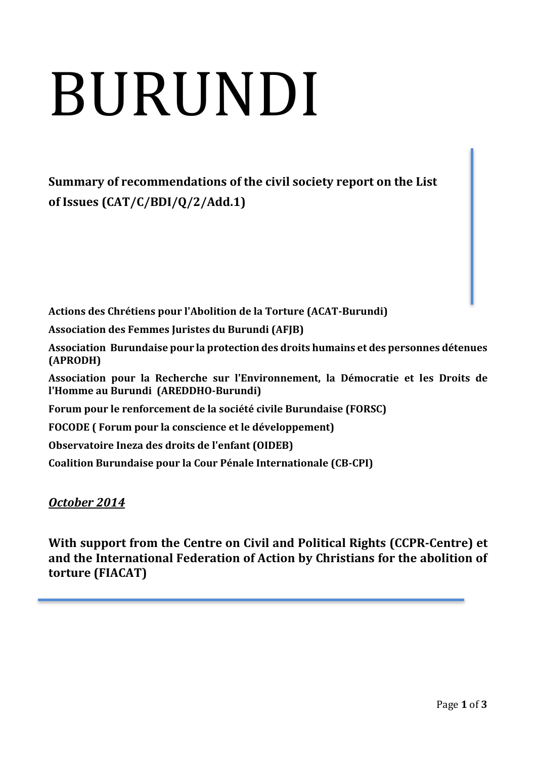# BURUNDI

**Summary of recommendations of the civil society report on the List of Issues (CAT/C/BDI/Q/2/Add.1)**

**Actions des Chrétiens pour l'Abolition de la Torture (ACAT-Burundi) Association des Femmes Juristes du Burundi (AFJB) Association Burundaise pour la protection des droits humains et des personnes détenues (APRODH) Association pour la Recherche sur l'Environnement, la Démocratie et les Droits de l'Homme au Burundi (AREDDHO-Burundi) Forum pour le renforcement de la société civile Burundaise (FORSC) FOCODE ( Forum pour la conscience et le développement) Observatoire Ineza des droits de l'enfant (OIDEB) Coalition Burundaise pour la Cour Pénale Internationale (CB-CPI)**

# *October 2014*

**With support from the Centre on Civil and Political Rights (CCPR-Centre) et and the International Federation of Action by Christians for the abolition of torture (FIACAT)**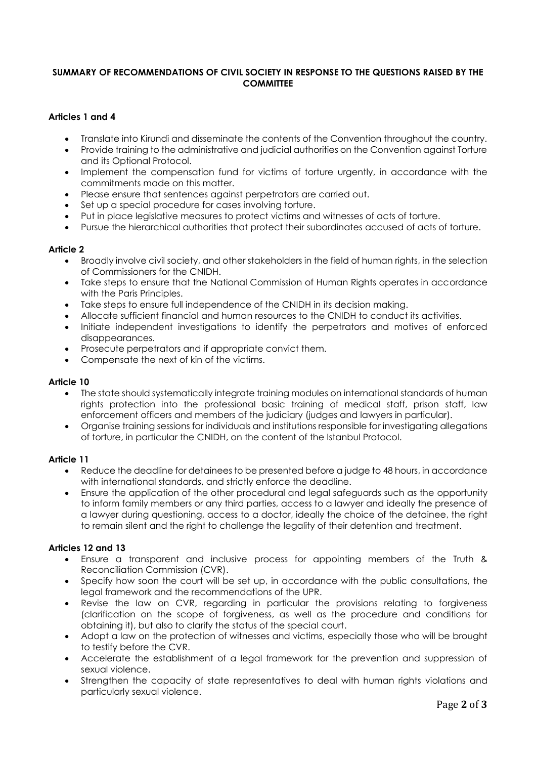# **SUMMARY OF RECOMMENDATIONS OF CIVIL SOCIETY IN RESPONSE TO THE QUESTIONS RAISED BY THE COMMITTEE**

# **Articles 1 and 4**

- Translate into Kirundi and disseminate the contents of the Convention throughout the country.
- Provide training to the administrative and judicial authorities on the Convention against Torture and its Optional Protocol.
- Implement the compensation fund for victims of torture urgently, in accordance with the commitments made on this matter.
- Please ensure that sentences against perpetrators are carried out.
- Set up a special procedure for cases involving torture.
- Put in place legislative measures to protect victims and witnesses of acts of torture.
- Pursue the hierarchical authorities that protect their subordinates accused of acts of torture.

#### **Article 2**

- Broadly involve civil society, and other stakeholders in the field of human rights, in the selection of Commissioners for the CNIDH.
- Take steps to ensure that the National Commission of Human Rights operates in accordance with the Paris Principles.
- Take steps to ensure full independence of the CNIDH in its decision making.
- Allocate sufficient financial and human resources to the CNIDH to conduct its activities.
- Initiate independent investigations to identify the perpetrators and motives of enforced disappearances.
- Prosecute perpetrators and if appropriate convict them.
- Compensate the next of kin of the victims.

#### **Article 10**

- The state should systematically integrate training modules on international standards of human rights protection into the professional basic training of medical staff, prison staff, law enforcement officers and members of the judiciary (judges and lawyers in particular).
- Organise training sessions for individuals and institutions responsible for investigating allegations of torture, in particular the CNIDH, on the content of the Istanbul Protocol.

#### **Article 11**

- Reduce the deadline for detainees to be presented before a judge to 48 hours, in accordance with international standards, and strictly enforce the deadline.
- Ensure the application of the other procedural and legal safeguards such as the opportunity to inform family members or any third parties, access to a lawyer and ideally the presence of a lawyer during questioning, access to a doctor, ideally the choice of the detainee, the right to remain silent and the right to challenge the legality of their detention and treatment.

### **Articles 12 and 13**

- Ensure a transparent and inclusive process for appointing members of the Truth & Reconciliation Commission (CVR).
- Specify how soon the court will be set up, in accordance with the public consultations, the legal framework and the recommendations of the UPR.
- Revise the law on CVR, regarding in particular the provisions relating to forgiveness (clarification on the scope of forgiveness, as well as the procedure and conditions for obtaining it), but also to clarify the status of the special court.
- Adopt a law on the protection of witnesses and victims, especially those who will be brought to testify before the CVR.
- Accelerate the establishment of a legal framework for the prevention and suppression of sexual violence.
- Strengthen the capacity of state representatives to deal with human rights violations and particularly sexual violence.